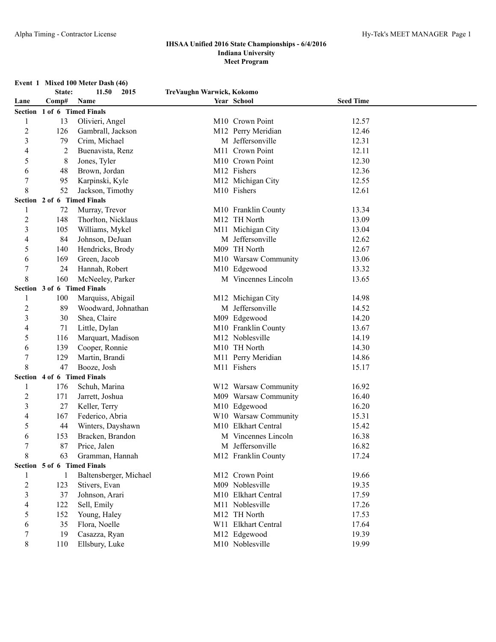# **Event 1 Mixed 100 Meter Dash (46)**

| Event 1 Mixed 100 Meter Dash (46) |                             |                        |                           |                      |                  |  |
|-----------------------------------|-----------------------------|------------------------|---------------------------|----------------------|------------------|--|
|                                   | State:                      | 11.50<br>2015          | TreVaughn Warwick, Kokomo |                      |                  |  |
| Lane                              | Comp#                       | Name                   |                           | Year School          | <b>Seed Time</b> |  |
|                                   | Section 1 of 6 Timed Finals |                        |                           |                      |                  |  |
| 1                                 | 13                          | Olivieri, Angel        |                           | M10 Crown Point      | 12.57            |  |
| $\overline{2}$                    | 126                         | Gambrall, Jackson      |                           | M12 Perry Meridian   | 12.46            |  |
| 3                                 | 79                          | Crim, Michael          |                           | M Jeffersonville     | 12.31            |  |
| 4                                 | 2                           | Buenavista, Renz       |                           | M11 Crown Point      | 12.11            |  |
| 5                                 | 8                           | Jones, Tyler           |                           | M10 Crown Point      | 12.30            |  |
| 6                                 | 48                          | Brown, Jordan          |                           | M12 Fishers          | 12.36            |  |
| 7                                 | 95                          | Karpinski, Kyle        |                           | M12 Michigan City    | 12.55            |  |
| 8                                 | 52                          | Jackson, Timothy       |                           | M10 Fishers          | 12.61            |  |
|                                   | Section 2 of 6 Timed Finals |                        |                           |                      |                  |  |
| 1                                 | 72                          | Murray, Trevor         |                           | M10 Franklin County  | 13.34            |  |
| $\overline{2}$                    | 148                         | Thorlton, Nicklaus     |                           | M12 TH North         | 13.09            |  |
| 3                                 | 105                         | Williams, Mykel        |                           | M11 Michigan City    | 13.04            |  |
| 4                                 | 84                          | Johnson, DeJuan        |                           | M Jeffersonville     | 12.62            |  |
| 5                                 | 140                         | Hendricks, Brody       |                           | M09 TH North         | 12.67            |  |
| 6                                 | 169                         | Green, Jacob           |                           | M10 Warsaw Community | 13.06            |  |
| 7                                 | 24                          | Hannah, Robert         |                           | M10 Edgewood         | 13.32            |  |
| 8                                 | 160                         | McNeeley, Parker       |                           | M Vincennes Lincoln  | 13.65            |  |
|                                   | Section 3 of 6 Timed Finals |                        |                           |                      |                  |  |
| 1                                 | 100                         | Marquiss, Abigail      |                           | M12 Michigan City    | 14.98            |  |
| $\overline{c}$                    | 89                          | Woodward, Johnathan    |                           | M Jeffersonville     | 14.52            |  |
| 3                                 | 30                          | Shea, Claire           |                           | M09 Edgewood         | 14.20            |  |
| 4                                 | 71                          | Little, Dylan          |                           | M10 Franklin County  | 13.67            |  |
| 5                                 | 116                         | Marquart, Madison      |                           | M12 Noblesville      | 14.19            |  |
| 6                                 | 139                         | Cooper, Ronnie         |                           | M10 TH North         | 14.30            |  |
| 7                                 | 129                         | Martin, Brandi         |                           | M11 Perry Meridian   | 14.86            |  |
| 8                                 | 47                          | Booze, Josh            |                           | M11 Fishers          | 15.17            |  |
|                                   | Section 4 of 6 Timed Finals |                        |                           |                      |                  |  |
| 1                                 | 176                         | Schuh, Marina          |                           | W12 Warsaw Community | 16.92            |  |
| $\overline{c}$                    | 171                         | Jarrett, Joshua        |                           | M09 Warsaw Community | 16.40            |  |
| 3                                 | 27                          | Keller, Terry          |                           | M10 Edgewood         | 16.20            |  |
| 4                                 | 167                         | Federico, Abria        |                           | W10 Warsaw Community | 15.31            |  |
| 5                                 | 44                          | Winters, Dayshawn      |                           | M10 Elkhart Central  | 15.42            |  |
| 6                                 | 153                         | Bracken, Brandon       |                           | M Vincennes Lincoln  | 16.38            |  |
| 7                                 | 87                          | Price, Jalen           |                           | M Jeffersonville     | 16.82            |  |
| 8                                 | 63                          | Gramman, Hannah        |                           | M12 Franklin County  | 17.24            |  |
|                                   | Section 5 of 6 Timed Finals |                        |                           |                      |                  |  |
| 1                                 | 1                           | Baltensberger, Michael |                           | M12 Crown Point      | 19.66            |  |
| $\overline{c}$                    | 123                         | Stivers, Evan          |                           | M09 Noblesville      | 19.35            |  |
| 3                                 | 37                          | Johnson, Arari         |                           | M10 Elkhart Central  | 17.59            |  |
| 4                                 | 122                         | Sell, Emily            |                           | M11 Noblesville      | 17.26            |  |

5 152 Young, Haley M12 TH North 17.53 35 Flora, Noelle W11 Elkhart Central 17.64 7 19 Casazza, Ryan M12 Edgewood 19.39 8 110 Ellsbury, Luke M10 Noblesville 19.99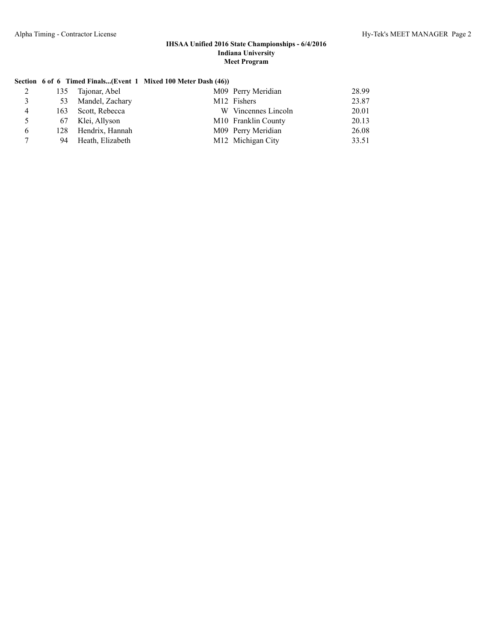## **Section 6 of 6 Timed Finals...(Event 1 Mixed 100 Meter Dash (46))**

|   |     | 135 Tajonar, Abel  | M09 Perry Meridian              | 28.99 |
|---|-----|--------------------|---------------------------------|-------|
| 3 | 53  | Mandel, Zachary    | M <sub>12</sub> Fishers         | 23.87 |
| 4 |     | 163 Scott, Rebecca | W Vincennes Lincoln             | 20.01 |
|   | 67  | Klei, Allyson      | M <sub>10</sub> Franklin County | 20.13 |
| 6 | 128 | Hendrix, Hannah    | M09 Perry Meridian              | 26.08 |
| 7 | 94  | Heath. Elizabeth   | M12 Michigan City               | 33.51 |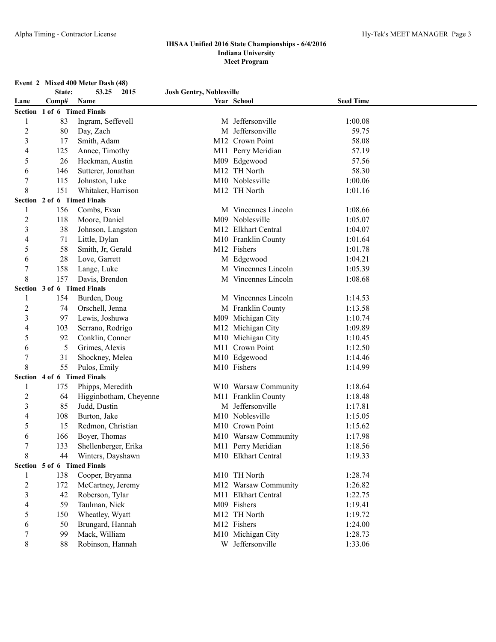| Event 2 Mixed 400 Meter Dash (48) |        |                             |                                 |                      |                  |  |
|-----------------------------------|--------|-----------------------------|---------------------------------|----------------------|------------------|--|
|                                   | State: | 53.25<br>2015               | <b>Josh Gentry, Noblesville</b> |                      |                  |  |
| Lane                              | Comp#  | Name                        |                                 | Year School          | <b>Seed Time</b> |  |
|                                   |        | Section 1 of 6 Timed Finals |                                 |                      |                  |  |
| $\mathbf{1}$                      | 83     | Ingram, Seffevell           |                                 | M Jeffersonville     | 1:00.08          |  |
| $\overline{c}$                    | 80     | Day, Zach                   |                                 | M Jeffersonville     | 59.75            |  |
| $\mathfrak{Z}$                    | 17     | Smith, Adam                 |                                 | M12 Crown Point      | 58.08            |  |
| 4                                 | 125    | Annee, Timothy              |                                 | M11 Perry Meridian   | 57.19            |  |
| 5                                 | 26     | Heckman, Austin             |                                 | M09 Edgewood         | 57.56            |  |
| 6                                 | 146    | Sutterer, Jonathan          |                                 | M12 TH North         | 58.30            |  |
| 7                                 | 115    | Johnston, Luke              |                                 | M10 Noblesville      | 1:00.06          |  |
| 8                                 | 151    | Whitaker, Harrison          |                                 | M12 TH North         | 1:01.16          |  |
|                                   |        | Section 2 of 6 Timed Finals |                                 |                      |                  |  |
| 1                                 | 156    | Combs, Evan                 |                                 | M Vincennes Lincoln  | 1:08.66          |  |
| $\overline{c}$                    | 118    | Moore, Daniel               |                                 | M09 Noblesville      | 1:05.07          |  |
| 3                                 | 38     | Johnson, Langston           |                                 | M12 Elkhart Central  | 1:04.07          |  |
| 4                                 | 71     | Little, Dylan               |                                 | M10 Franklin County  | 1:01.64          |  |
| 5                                 | 58     | Smith, Jr, Gerald           |                                 | M12 Fishers          | 1:01.78          |  |
| 6                                 | 28     | Love, Garrett               |                                 | M Edgewood           | 1:04.21          |  |
| 7                                 | 158    | Lange, Luke                 |                                 | M Vincennes Lincoln  | 1:05.39          |  |
| 8                                 | 157    | Davis, Brendon              |                                 | M Vincennes Lincoln  | 1:08.68          |  |
|                                   |        | Section 3 of 6 Timed Finals |                                 |                      |                  |  |
| 1                                 | 154    | Burden, Doug                |                                 | M Vincennes Lincoln  | 1:14.53          |  |
| $\overline{c}$                    | 74     | Orschell, Jenna             |                                 | M Franklin County    | 1:13.58          |  |
| 3                                 | 97     | Lewis, Joshuwa              |                                 | M09 Michigan City    | 1:10.74          |  |
| 4                                 | 103    | Serrano, Rodrigo            |                                 | M12 Michigan City    | 1:09.89          |  |
| 5                                 | 92     | Conklin, Conner             |                                 | M10 Michigan City    | 1:10.45          |  |
| 6                                 | 5      | Grimes, Alexis              |                                 | M11 Crown Point      | 1:12.50          |  |
| 7                                 | 31     | Shockney, Melea             |                                 | M10 Edgewood         | 1:14.46          |  |
| 8                                 | 55     | Pulos, Emily                |                                 | M10 Fishers          | 1:14.99          |  |
|                                   |        | Section 4 of 6 Timed Finals |                                 |                      |                  |  |
| 1                                 | 175    | Phipps, Meredith            |                                 | W10 Warsaw Community | 1:18.64          |  |
| $\overline{c}$                    | 64     | Higginbotham, Cheyenne      |                                 | M11 Franklin County  | 1:18.48          |  |
| 3                                 | 85     | Judd, Dustin                |                                 | M Jeffersonville     | 1:17.81          |  |
| 4                                 | 108    | Burton, Jake                |                                 | M10 Noblesville      | 1:15.05          |  |
| 5                                 | 15     | Redmon, Christian           |                                 | M10 Crown Point      | 1:15.62          |  |
| 6                                 | 166    | Boyer, Thomas               |                                 | M10 Warsaw Community | 1:17.98          |  |
| $\tau$                            | 133    | Shellenberger, Erika        |                                 | M11 Perry Meridian   | 1:18.56          |  |
| 8                                 | 44     | Winters, Dayshawn           |                                 | M10 Elkhart Central  | 1:19.33          |  |
|                                   |        | Section 5 of 6 Timed Finals |                                 |                      |                  |  |
| 1                                 | 138    | Cooper, Bryanna             |                                 | M10 TH North         | 1:28.74          |  |
| $\overline{c}$                    | 172    | McCartney, Jeremy           |                                 | M12 Warsaw Community | 1:26.82          |  |
| 3                                 | 42     | Roberson, Tylar             |                                 | M11 Elkhart Central  | 1:22.75          |  |
| 4                                 | 59     | Taulman, Nick               |                                 | M09 Fishers          | 1:19.41          |  |
| 5                                 | 150    | Wheatley, Wyatt             |                                 | M12 TH North         | 1:19.72          |  |
| 6                                 | 50     | Brungard, Hannah            |                                 | M12 Fishers          | 1:24.00          |  |
| 7                                 | 99     | Mack, William               |                                 | M10 Michigan City    | 1:28.73          |  |
| 8                                 | 88     | Robinson, Hannah            |                                 | W Jeffersonville     | 1:33.06          |  |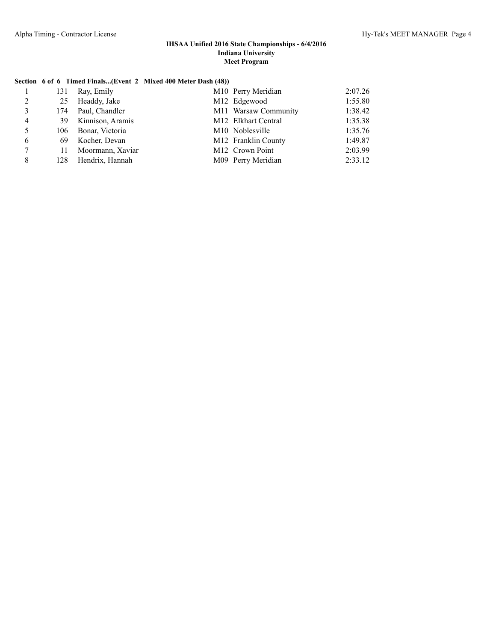## **Section 6 of 6 Timed Finals...(Event 2 Mixed 400 Meter Dash (48))**

|                | 131 | Ray, Emily       | M10 Perry Meridian          | 2:07.26 |
|----------------|-----|------------------|-----------------------------|---------|
| 2              | 25  | Headdy, Jake     | M12 Edgewood                | 1:55.80 |
| 3              | 174 | Paul, Chandler   | M11 Warsaw Community        | 1:38.42 |
| $\overline{4}$ | 39  | Kinnison, Aramis | M12 Elkhart Central         | 1:35.38 |
| 5              | 106 | Bonar, Victoria  | M <sub>10</sub> Noblesville | 1:35.76 |
| 6              | 69  | Kocher, Devan    | M12 Franklin County         | 1:49.87 |
| $\tau$         | 11  | Moormann, Xaviar | M12 Crown Point             | 2:03.99 |
| 8              | 128 | Hendrix, Hannah  | M09 Perry Meridian          | 2:33.12 |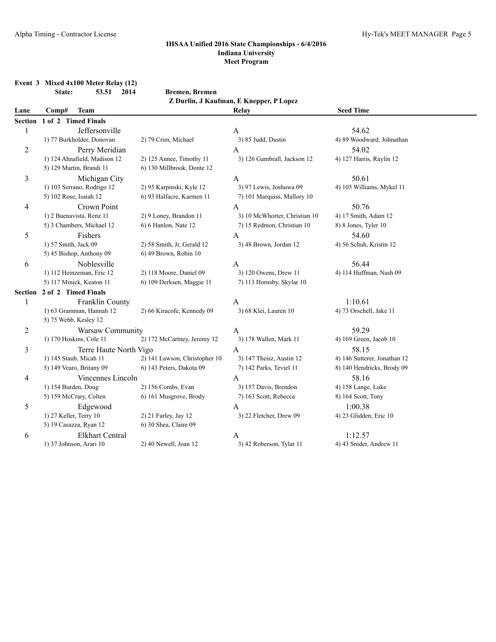**Event 3 Mixed 4x100 Meter Relay (12)**

#### **IHSAA Unified 2016 State Championships - 6/4/2016 Indiana University Meet Program**

**State: 53.51 2014 Bremen, Bremen Z Durlin, J Kaufman, E Knepper, P Lopez Lane Comp# Team Relay Seed Time Section 1 of 2 Timed Finals** 1 Jeffersonville A 54.62 1) 77 Burkholder, Donovan 2) 79 Crim, Michael 3) 85 Judd, Dustin 4) 89 Woodward, Johnathan 2 Perry Meridian A 54.02 1) 124 Ahnafield, Madison 12 2) 125 Annee, Timothy 11 3) 126 Gambrall, Jackson 12 4) 127 Harris, Raylin 12 5) 129 Martin, Brandi 11 6) 130 Millbrook, Donte 12 3 Michigan City A 50.61 1) 103 Serrano, Rodrigo 12 2) 95 Karpinski, Kyle 12 3) 97 Lewis, Joshuwa 09 4) 105 Williams, Mykel 11 5) 102 Rose, Isaiah 12 6) 93 Halfacre, Karmen 11 7) 101 Marquiss, Mallory 10 4 Crown Point A 50.76 1) 2 Buenavista, Renz 11 2) 9 Loney, Brandon 11 3) 10 McWhorter, Christian 10 4) 17 Smith, Adam 12 5) 3 Chambers, Michael 12 6) 6 Hanlon, Nate 12 7) 15 Redmon, Christian 10 8) 8 Jones, Tyler 10 5 **Fishers A** 54.60 1) 57 Smith, Jack 09 2) 58 Smith, Jr, Gerald 12 3) 48 Brown, Jordan 12 4) 56 Schuh, Kristin 12 5) 45 Bishop, Anthony 09 6) 49 Brown, Robin 10 6 1) 112 Heinzeman, Eric 12 2) 118 Moore, Daniel 09 4 3 120 Owens, Drew 11 56.44 56.44 56.44 1) 112 Heinzeman, Eric 12 5) 117 Minick, Keaton 11 6) 109 Derksen, Maggie 11 7) 113 Hornsby, Skylar 10 **Section 2 of 2 Timed Finals** 1 Franklin County **A** 1:10.61 1) 63 Gramman, Hannah 12 2) 66 Kiracofe, Kennedy 09 3) 68 Klei, Lauren 10 4) 73 Orschell, Jake 11 5) 75 Webb, Kesley 12 2 Warsaw Community A 59.29 1) 170 Hoskins, Cole 11 2) 172 McCartney, Jeremy 12 3) 178 Wallen, Mark 11 4) 169 Green, Jacob 10 3 Terre Haute North Vigo A 58.15 1) 145 Staub, Micah 11 2) 141 Lawson, Christopher 10 3) 147 Theisz, Austin 12 4) 146 Sutterer, Jonathan 12 5) 149 Vearo, Britany 09 6) 143 Peters, Dakota 09 7) 142 Parks, Teviel 11 8) 140 Hendricks, Brody 09 4 Vincennes Lincoln A 58.16 1) 154 Burden, Doug 2) 156 Combs, Evan 3) 157 Davis, Brendon 4) 158 Lange, Luke 5) 159 McCrary, Colten 6) 161 Musgrove, Brody 7) 163 Scott, Rebecca 8) 164 Scott, Tony 5 Edgewood A 1:00.38 1) 27 Keller, Terry 10 2) 21 Farley, Jay 12 3) 22 Fletcher, Drew 09 4) 23 Glidden, Eric 10 5) 19 Casazza, Ryan 12 6) 30 Shea, Claire 09 6 Elkhart Central A 1:12.57 1) 37 Johnson, Arari 10 2) 40 Newell, Joan 12 3) 42 Roberson, Tylar 11 4) 43 Snider, Andrew 11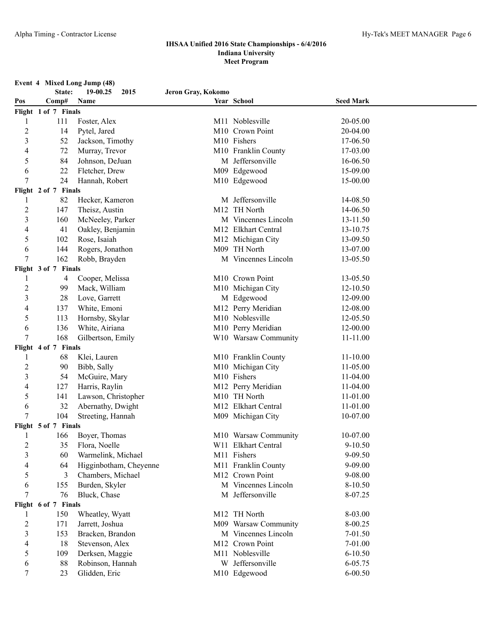**Event 4 Mixed Long Jump (48)**

#### **IHSAA Unified 2016 State Championships - 6/4/2016 Indiana University Meet Program**

**State: 19-00.25 2015 Jeron Gray, Kokomo Pos Comp# Name Year School Seed Mark Flight 1 of 7 Finals** 1 111 Foster, Alex M11 Noblesville 20-05.00 2 14 Pytel, Jared M10 Crown Point 20-04.00 3 52 Jackson, Timothy M10 Fishers 17-06.50 4 72 Murray, Trevor M10 Franklin County 17-03.00 5 84 Johnson, DeJuan M Jeffersonville 16-06.50 6 22 Fletcher, Drew M09 Edgewood 15-09.00 7 24 Hannah, Robert M10 Edgewood 15-00.00 **Flight 2 of 7 Finals** 1 82 Hecker, Kameron M Jeffersonville 14-08.50 2 147 Theisz, Austin M12 TH North 14-06.50 3 160 McNeeley, Parker M Vincennes Lincoln 13-11.50 4 4 1 Oakley, Benjamin M12 Elkhart Central 13-10.75 5 102 Rose, Isaiah M12 Michigan City 13-09.50 6 144 Rogers, Jonathon M09 TH North 13-07.00 7 162 Robb, Brayden M Vincennes Lincoln 13-05.50 **Flight 3 of 7 Finals** 1 4 Cooper, Melissa M10 Crown Point 13-05.50 2 99 Mack, William M10 Michigan City 12-10.50 3 28 Love, Garrett M Edgewood 12-09.00 4 137 White, Emoni M12 Perry Meridian 12-08.00 5 113 Hornsby, Skylar M10 Noblesville 12-05.50 6 136 White, Airiana M10 Perry Meridian 12-00.00 7 168 Gilbertson, Emily W10 Warsaw Community 11-11.00 **Flight 4 of 7 Finals** 1 68 Klei, Lauren M10 Franklin County 11-10.00 2 90 Bibb, Sally M10 Michigan City 11-05.00 3 54 McGuire, Mary M10 Fishers 11-04.00 4 127 Harris, Raylin M12 Perry Meridian 11-04.00 5 141 Lawson, Christopher M10 TH North 11-01.00 6 32 Abernathy, Dwight M12 Elkhart Central 11-01.00 7 104 Streeting, Hannah M09 Michigan City 10-07.00 **Flight 5 of 7 Finals** 1 166 Boyer, Thomas M10 Warsaw Community 10-07.00 2 35 Flora, Noelle W11 Elkhart Central 9-10.50 3 60 Warmelink, Michael M11 Fishers 9-09.50 4 64 Higginbotham, Cheyenne M11 Franklin County 9-09.00 5 3 Chambers, Michael M12 Crown Point 9-08.00 6 155 Burden, Skyler M Vincennes Lincoln 8-10.50 7 76 Bluck, Chase M Jeffersonville 8-07.25 **Flight 6 of 7 Finals** 1 150 Wheatley, Wyatt M12 TH North 8-03.00 2 171 Jarrett, Joshua M09 Warsaw Community 8-00.25 3 153 Bracken, Brandon M Vincennes Lincoln 7-01.50 4 18 Stevenson, Alex M12 Crown Point 7-01.00 5 109 Derksen, Maggie M11 Noblesville 6-10.50 6 88 Robinson, Hannah W Jeffersonville 6-05.75 7 23 Glidden, Eric M10 Edgewood 6-00.50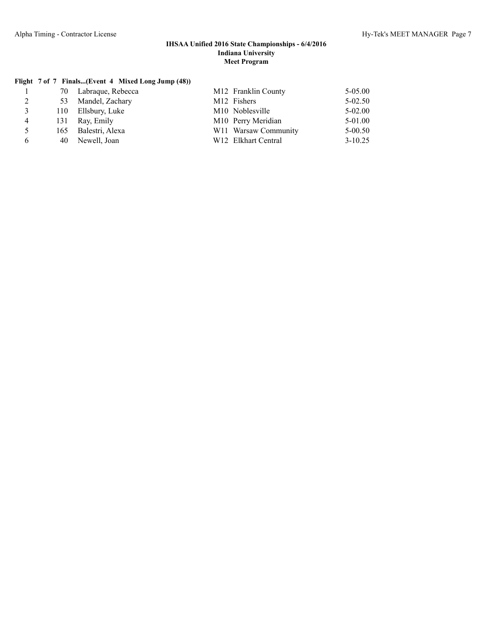# **Flight 7 of 7 Finals...(Event 4 Mixed Long Jump (48))**

|   |     | 70 Labraque, Rebecca | M12 Franklin County             | $5 - 05.00$ |
|---|-----|----------------------|---------------------------------|-------------|
|   | 53  | Mandel, Zachary      | M <sub>12</sub> Fishers         | $5 - 02.50$ |
| 3 | 110 | Ellsbury, Luke       | M <sub>10</sub> Noblesville     | $5 - 02.00$ |
| 4 | 131 | Ray, Emily           | M10 Perry Meridian              | 5-01.00     |
| 5 | 165 | Balestri, Alexa      | W11 Warsaw Community            | $5 - 00.50$ |
| 6 | 40  | Newell. Joan         | W <sub>12</sub> Elkhart Central | $3 - 10.25$ |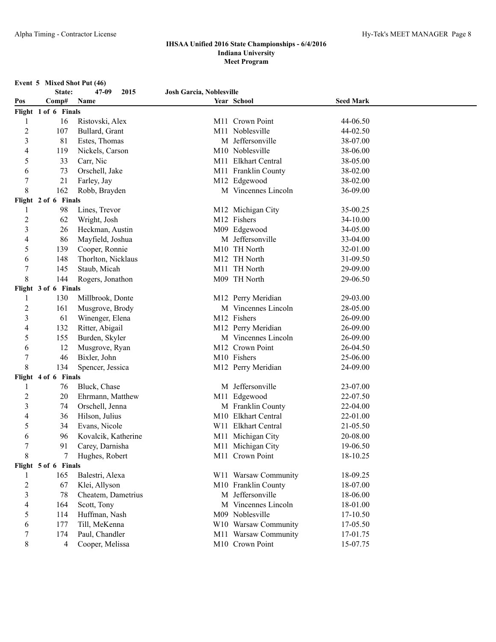**Event 5 Mixed Shot Put (46)**

**State: 47-09 2015 Josh Garcia, Noblesville**

| Pos            | Comp#                | Name                |  | Year School                 | <b>Seed Mark</b> |  |  |
|----------------|----------------------|---------------------|--|-----------------------------|------------------|--|--|
|                | Flight 1 of 6 Finals |                     |  |                             |                  |  |  |
| 1              | 16                   | Ristovski, Alex     |  | M11 Crown Point             | 44-06.50         |  |  |
| $\overline{2}$ | 107                  | Bullard, Grant      |  | M11 Noblesville             | 44-02.50         |  |  |
| 3              | 81                   | Estes, Thomas       |  | M Jeffersonville            | 38-07.00         |  |  |
| 4              | 119                  | Nickels, Carson     |  | M10 Noblesville             | 38-06.00         |  |  |
| 5              | 33                   | Carr, Nic           |  | M11 Elkhart Central         | 38-05.00         |  |  |
| 6              | 73                   | Orschell, Jake      |  | M11 Franklin County         | 38-02.00         |  |  |
| $\overline{7}$ | 21                   | Farley, Jay         |  | M12 Edgewood                | 38-02.00         |  |  |
| $\,$ 8 $\,$    | 162                  | Robb, Brayden       |  | M Vincennes Lincoln         | 36-09.00         |  |  |
|                | Flight 2 of 6 Finals |                     |  |                             |                  |  |  |
| 1              | 98                   | Lines, Trevor       |  | M12 Michigan City           | 35-00.25         |  |  |
| $\overline{c}$ | 62                   | Wright, Josh        |  | M12 Fishers                 | 34-10.00         |  |  |
| 3              | 26                   | Heckman, Austin     |  | M09 Edgewood                | 34-05.00         |  |  |
| 4              | 86                   | Mayfield, Joshua    |  | M Jeffersonville            | 33-04.00         |  |  |
| 5              | 139                  | Cooper, Ronnie      |  | M10 TH North                | 32-01.00         |  |  |
| 6              | 148                  | Thorlton, Nicklaus  |  | M12 TH North                | 31-09.50         |  |  |
| 7              | 145                  | Staub, Micah        |  | M11 TH North                | 29-09.00         |  |  |
| $\,8\,$        | 144                  | Rogers, Jonathon    |  | M09 TH North                | 29-06.50         |  |  |
|                | Flight 3 of 6 Finals |                     |  |                             |                  |  |  |
| 1              | 130                  | Millbrook, Donte    |  | M12 Perry Meridian          | 29-03.00         |  |  |
| $\overline{c}$ | 161                  | Musgrove, Brody     |  | M Vincennes Lincoln         | 28-05.00         |  |  |
| $\mathfrak{Z}$ | 61                   | Winenger, Elena     |  | M12 Fishers                 | 26-09.00         |  |  |
| 4              | 132                  | Ritter, Abigail     |  | M12 Perry Meridian          | 26-09.00         |  |  |
| 5              | 155                  | Burden, Skyler      |  | M Vincennes Lincoln         | 26-09.00         |  |  |
| 6              | 12                   | Musgrove, Ryan      |  | M12 Crown Point             | 26-04.50         |  |  |
| 7              | 46                   | Bixler, John        |  | M10 Fishers                 | 25-06.00         |  |  |
| 8              | 134                  | Spencer, Jessica    |  | M12 Perry Meridian          | 24-09.00         |  |  |
|                | Flight 4 of 6 Finals |                     |  |                             |                  |  |  |
| 1              | 76                   | Bluck, Chase        |  | M Jeffersonville            | 23-07.00         |  |  |
| $\overline{c}$ | 20                   | Ehrmann, Matthew    |  | M11 Edgewood                | 22-07.50         |  |  |
| 3              | 74                   | Orschell, Jenna     |  | M Franklin County           | 22-04.00         |  |  |
| 4              | 36                   | Hilson, Julius      |  | M10 Elkhart Central         | 22-01.00         |  |  |
| 5              | 34                   | Evans, Nicole       |  | W11 Elkhart Central         | 21-05.50         |  |  |
| 6              | 96                   | Kovalcik, Katherine |  | M11 Michigan City           | 20-08.00         |  |  |
| 7              | 91                   | Carey, Darnisha     |  | M11 Michigan City           | 19-06.50         |  |  |
| 8              |                      | Hughes, Robert      |  | M <sub>11</sub> Crown Point | 18-10.25         |  |  |
|                | Flight 5 of 6 Finals |                     |  |                             |                  |  |  |
| 1              | 165                  | Balestri, Alexa     |  | W11 Warsaw Community        | 18-09.25         |  |  |
| $\overline{c}$ | 67                   | Klei, Allyson       |  | M10 Franklin County         | 18-07.00         |  |  |
| 3              | 78                   | Cheatem, Dametrius  |  | M Jeffersonville            | 18-06.00         |  |  |
| 4              | 164                  | Scott, Tony         |  | M Vincennes Lincoln         | 18-01.00         |  |  |
| 5              | 114                  | Huffman, Nash       |  | M09 Noblesville             | 17-10.50         |  |  |
| 6              | 177                  | Till, MeKenna       |  | W10 Warsaw Community        | 17-05.50         |  |  |
| 7              | 174                  | Paul, Chandler      |  | M11 Warsaw Community        | 17-01.75         |  |  |
| 8              | 4                    | Cooper, Melissa     |  | M10 Crown Point             | 15-07.75         |  |  |